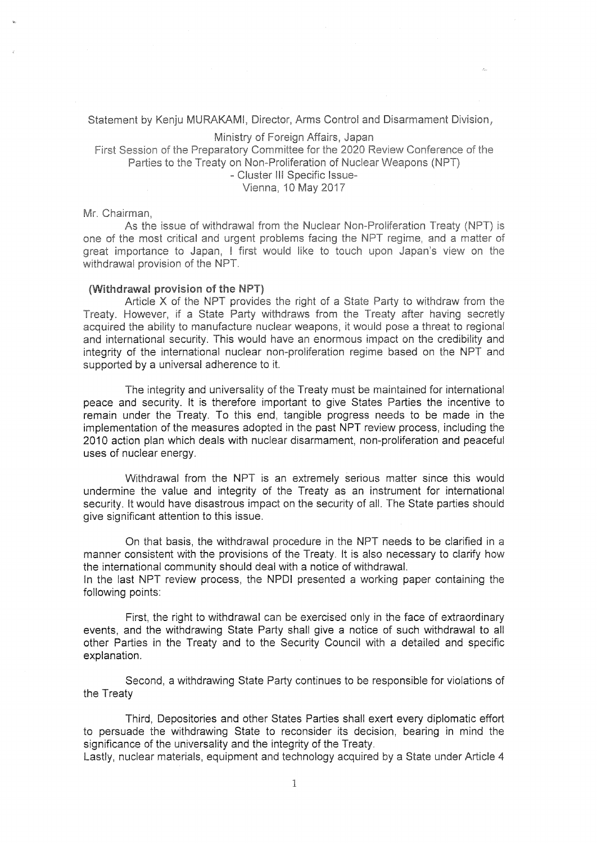# Statement by Kenju MURAKAMI, Director, Arms Control and Disarmament Division,

## Ministry of Foreign Affairs, Japan

First Session of the Preparatory Committee for the 2020 Review Conference of the Parties to the Treaty on Non-Proliferation of Nuclear Weapons (NPT)

Cluster Ill Specific Issue-

Vienna, 10 May 2017

### Mr. Chairman,

As the issue of withdrawal from the Nuclear Non-Proliferation Treaty (NPT) is one of the most critical and urgent problems facing the NPT regime, and a matter of great importance to Japan, <sup>I</sup> first would like to touch upon Japan's view on the withdrawal provision of the NPT.

#### (Withdrawal provision of the NPT)

Article X of the NPT provides the right of a State Party to withdraw from the Treaty. However, if a State Party withdraws from the Treaty after having secretly acquired the ability to manufacture nuclear weapons, it would pose a threat to regional and international security. This would have an enormous impact on the credibility and integrity of the international nuclear non-proliferation regime based on the NPT and supported by a universal adherence to it,

The integrity and universality of the Treaty must be maintained for international peace and security. It is therefore important to give States Parties the incentive to remain under the Treaty. To this end, tangible progress needs to be made in the implementation of the measures adopted in the past NPT review process, including the 2010 action plan which deals with nuclear disarmament, non-proliferation and peaceful uses of nuclear energy.

Withdrawal from the NPT is an extremely serious matter since this would undermine the value and integrity of the Treaty as an instrument for international security. It would have disastrous impact on the security of all. The State parties should give significant attention to this issue.

On that basis, the withdrawal procedure in the NPT needs to be clarified in a manner consistent with the provisions of the Treaty. It is also necessary to clarify how the international community should deal with a notice of withdrawal.

In the last NPT review process, the NPDI presented a working paper containing the following points:

First, the right to withdrawal can be exercised only in the face of extraordinary events, and the withdrawing State Party shall give a notice of such withdrawal to all other Parties in the Treaty and to the Security Council with a detailed and specific explanation.

Second, a withdrawing State Party continues to be responsible for violations of the Treaty

Third, Depositories and other States Parties shall exert every diplomatic effort to persuade the withdrawing State to reconsider its decision, bearing in mind the significance of the universality and the integrity of the Treaty.

Lastly, nuclear materials, equipment and technology acquired by a State under Article 4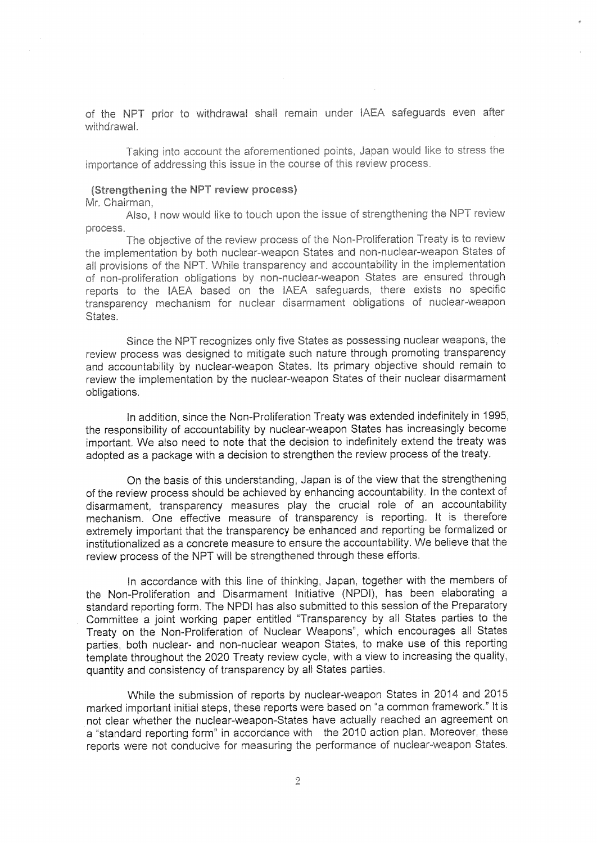of the NPT prior to withdrawal shall remain under IAEA safeguards even after withdrawaL

Taking into account the aforementioned points. Japan would like to stress the moortance of addressing this issue in the course of this review process.

# (Strengthening the NPT review process)

# Mr. Chairman,

Also, <sup>I</sup> now would like to touch upon the issue of strengthening the NPT review process.

The objective of the review process of the Non-Proliferation Treaty is to review the implementation by both nuclear-weapon States and non-nuclear-weapon States of all provisions of the NPT. While transparency and accountability in the implementation of non-proliferation obligations by non-nuclear-weapon States are ensured through reports to the IAEA based on the IAEA safeguards, there exists no specific transparency mechanism for nuclear disarmament obligations of nuclear-weapon States.

Since the NPT recognizes only five States as possessing nuclear weapons, the review process was designed to mitigate such nature through promoting transparency and accountability by nuclear-weapon States. Its primary objective should remain to review the implementation by the nuclear-weapon States of their nuclear disarmament obligations

In addition, since the Non-Proliferation Treaty was extended indefinitely in 1995, the responsibility of accountability by nuclear-weapon States has increasingly become important. We also need to note that the decision to indefinitely extend the treaty was adopted as a package with a decision to strengthen the review process of the treaty.

On the basis of this understanding, Japan is of the view that the strengthening of the review process should be achieved by enhancing accountability. In the context of disarmament, transparency measures play the crucial role of an accountability mechanism. One effective measure of transparency is reporting. It is therefore extremely important that the transparency be enhanced and reporting be formalized or institutionalized as a concrete measure to ensure the accountability. We believe that the review process of the NPT will be strengthened through these efforts.

In accordance with this line of thinking, Japan, together with the members of the Non-Proliferation and Disarmament Initiative (NPDI), has been elaborating a standard reporting form. The NPDI has also submitted to this session of the Preparatory Committee a joint working paper entitled "Transparency by all States parties to the Treaty on the Non-Proliferation of Nuclear Weapons", which encourages all States parties, both nuclear- and non-nuclear weapon States, to make use of this reporting template throughout the 2020 Treaty review cycle, with a view to increasing the quality, quantity and consistency of transparency by all States parties.

While the submission of reports by nuclear-weapon States in 2014 and 2015 marked important initial steps, these reports were based on "a common framework." It is not clear whether the nuclear-weapon-States have actually reached an agreement on a "standard reporting form" in accordance with the 2010 action plan. Moreover, these reports were not conducive for measuring the performance of nuclear-weapon States.